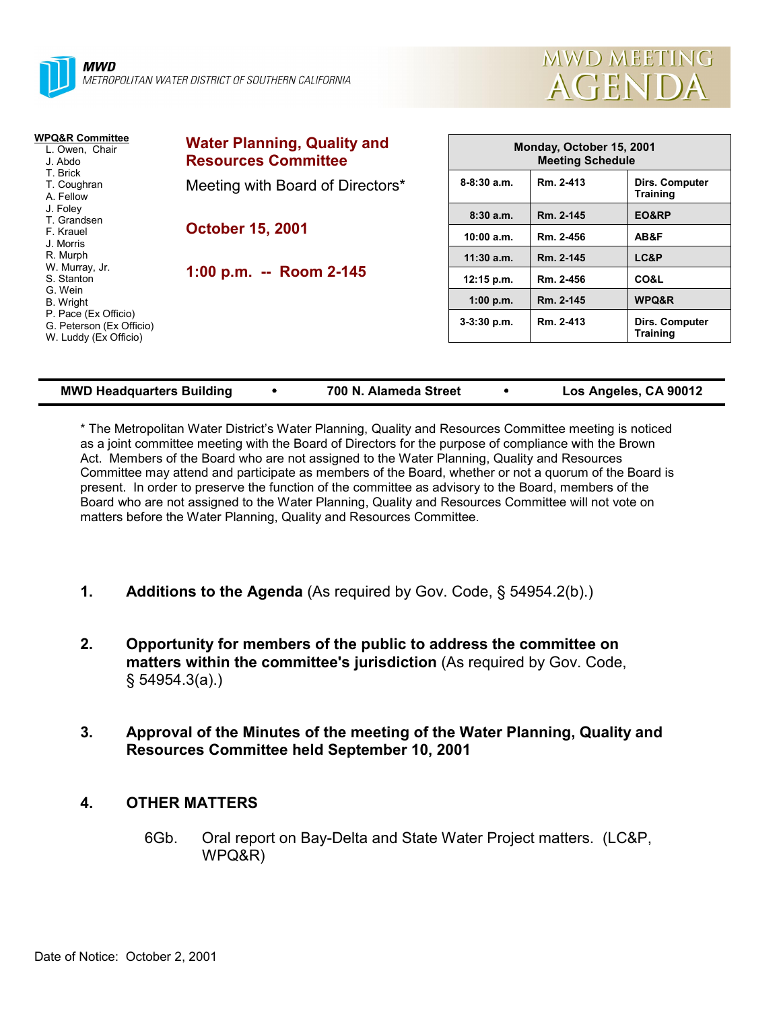



| <b>WPQ&amp;R Committee</b><br>L. Owen, Chair<br>J. Abdo<br>T. Brick<br>T. Coughran<br>A. Fellow                                                                                                    | <b>Water Planning, Quality and</b><br><b>Resources Committee</b> | Monday, October 15, 2001<br><b>Meeting Schedule</b> |           |                                          |  |
|----------------------------------------------------------------------------------------------------------------------------------------------------------------------------------------------------|------------------------------------------------------------------|-----------------------------------------------------|-----------|------------------------------------------|--|
|                                                                                                                                                                                                    | Meeting with Board of Directors*                                 | $8 - 8:30$ a.m.                                     | Rm. 2-413 | Dirs. Computer<br><b>Training</b>        |  |
| J. Foley<br>T. Grandsen<br>F. Krauel<br>J. Morris<br>R. Murph<br>W. Murray, Jr.<br>S. Stanton<br>G. Wein<br>B. Wright<br>P. Pace (Ex Officio)<br>G. Peterson (Ex Officio)<br>W. Luddy (Ex Officio) | <b>October 15, 2001</b><br>1:00 p.m. -- Room 2-145               | 8:30a.m.                                            | Rm. 2-145 | EO&RP                                    |  |
|                                                                                                                                                                                                    |                                                                  | 10:00 a.m.                                          | Rm. 2-456 | AB&F                                     |  |
|                                                                                                                                                                                                    |                                                                  | $11:30$ a.m.                                        | Rm. 2-145 | LC&P                                     |  |
|                                                                                                                                                                                                    |                                                                  | $12:15$ p.m.                                        | Rm. 2-456 | CO&L                                     |  |
|                                                                                                                                                                                                    |                                                                  | 1:00 p.m.                                           | Rm. 2-145 | WPQ&R                                    |  |
|                                                                                                                                                                                                    |                                                                  | $3-3:30$ p.m.                                       | Rm. 2-413 | <b>Dirs. Computer</b><br><b>Training</b> |  |
|                                                                                                                                                                                                    |                                                                  |                                                     |           |                                          |  |

| <b>MWD Headquarters Building</b> |  | 700 N. Alameda Street |  | Los Angeles, CA 90012 |
|----------------------------------|--|-----------------------|--|-----------------------|
|----------------------------------|--|-----------------------|--|-----------------------|

\* The Metropolitan Water Districtís Water Planning, Quality and Resources Committee meeting is noticed as a joint committee meeting with the Board of Directors for the purpose of compliance with the Brown Act. Members of the Board who are not assigned to the Water Planning, Quality and Resources Committee may attend and participate as members of the Board, whether or not a quorum of the Board is present. In order to preserve the function of the committee as advisory to the Board, members of the Board who are not assigned to the Water Planning, Quality and Resources Committee will not vote on matters before the Water Planning, Quality and Resources Committee.

- **1. Additions to the Agenda** (As required by Gov. Code, ß 54954.2(b).)
- **2. Opportunity for members of the public to address the committee on matters within the committee's jurisdiction** (As required by Gov. Code, ß 54954.3(a).)
- **3. Approval of the Minutes of the meeting of the Water Planning, Quality and Resources Committee held September 10, 2001**

## **4. OTHER MATTERS**

6Gb. Oral report on Bay-Delta and State Water Project matters. (LC&P, WPQ&R)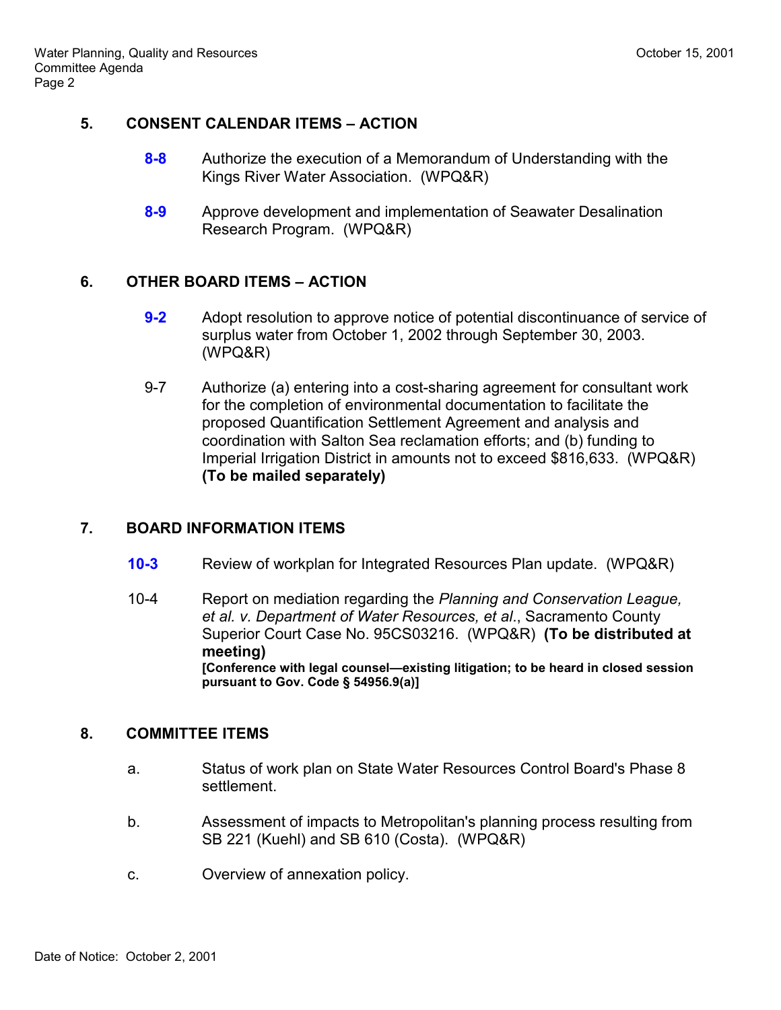#### **5. CONSENT CALENDAR ITEMS - ACTION**

- **8-8** Authorize the execution of a Memorandum of Understanding with the Kings River Water Association. (WPQ&R)
- **8-9** Approve development and implementation of Seawater Desalination Research Program. (WPQ&R)

# **6. OTHER BOARD ITEMS - ACTION**

- **9-2** Adopt resolution to approve notice of potential discontinuance of service of surplus water from October 1, 2002 through September 30, 2003. (WPQ&R)
- 9-7 Authorize (a) entering into a cost-sharing agreement for consultant work for the completion of environmental documentation to facilitate the proposed Quantification Settlement Agreement and analysis and coordination with Salton Sea reclamation efforts; and (b) funding to Imperial Irrigation District in amounts not to exceed \$816,633. (WPQ&R) **(To be mailed separately)**

## **7. BOARD INFORMATION ITEMS**

- **10-3** Review of workplan for Integrated Resources Plan update. (WPQ&R)
- 10-4 Report on mediation regarding the *Planning and Conservation League, et al. v. Department of Water Resources, et al*., Sacramento County Superior Court Case No. 95CS03216. (WPQ&R) **(To be distributed at meeting)** [Conference with legal counsel—existing litigation; to be heard in closed session **pursuant to Gov. Code ß 54956.9(a)]**

## **8. COMMITTEE ITEMS**

- a. Status of work plan on State Water Resources Control Board's Phase 8 settlement.
- b. Assessment of impacts to Metropolitan's planning process resulting from SB 221 (Kuehl) and SB 610 (Costa). (WPQ&R)
- c. Overview of annexation policy.